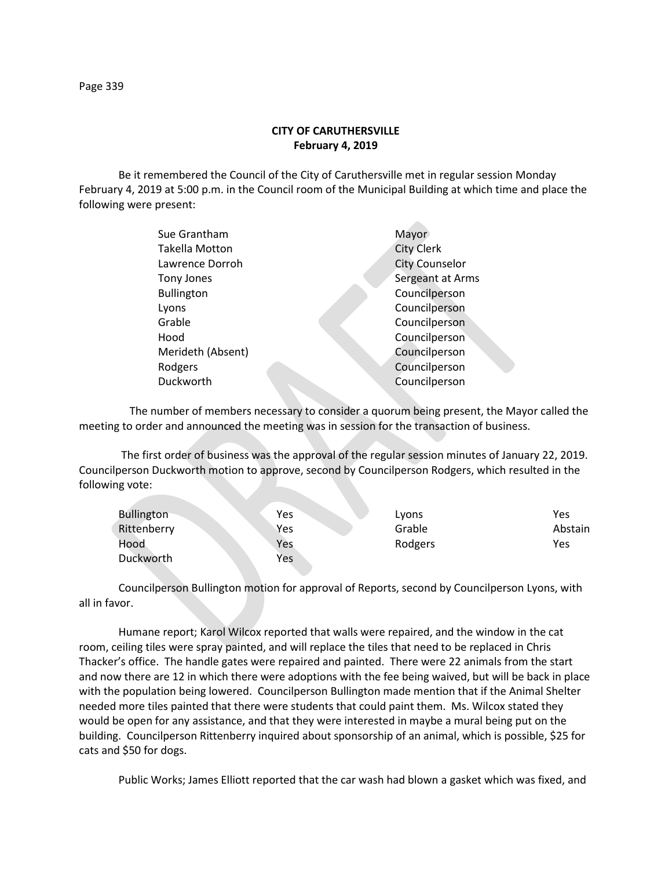## **CITY OF CARUTHERSVILLE February 4, 2019**

Be it remembered the Council of the City of Caruthersville met in regular session Monday February 4, 2019 at 5:00 p.m. in the Council room of the Municipal Building at which time and place the following were present:

| Sue Grantham          | Mayor                 |
|-----------------------|-----------------------|
| <b>Takella Motton</b> | <b>City Clerk</b>     |
| Lawrence Dorroh       | <b>City Counselor</b> |
| Tony Jones            | Sergeant at Arms      |
| <b>Bullington</b>     | Councilperson         |
| Lyons                 | Councilperson         |
| Grable                | Councilperson         |
| Hood                  | Councilperson         |
| Merideth (Absent)     | Councilperson         |
| Rodgers               | Councilperson         |
| Duckworth             | Councilperson         |
|                       |                       |

 The number of members necessary to consider a quorum being present, the Mayor called the meeting to order and announced the meeting was in session for the transaction of business.

The first order of business was the approval of the regular session minutes of January 22, 2019. Councilperson Duckworth motion to approve, second by Councilperson Rodgers, which resulted in the following vote:

| <b>Bullington</b> | Yes | Lyons   | Yes     |
|-------------------|-----|---------|---------|
| Rittenberry       | Yes | Grable  | Abstain |
| Hood              | Yes | Rodgers | Yes     |
| Duckworth         | Yes |         |         |

Councilperson Bullington motion for approval of Reports, second by Councilperson Lyons, with all in favor.

Humane report; Karol Wilcox reported that walls were repaired, and the window in the cat room, ceiling tiles were spray painted, and will replace the tiles that need to be replaced in Chris Thacker's office. The handle gates were repaired and painted. There were 22 animals from the start and now there are 12 in which there were adoptions with the fee being waived, but will be back in place with the population being lowered. Councilperson Bullington made mention that if the Animal Shelter needed more tiles painted that there were students that could paint them. Ms. Wilcox stated they would be open for any assistance, and that they were interested in maybe a mural being put on the building. Councilperson Rittenberry inquired about sponsorship of an animal, which is possible, \$25 for cats and \$50 for dogs.

Public Works; James Elliott reported that the car wash had blown a gasket which was fixed, and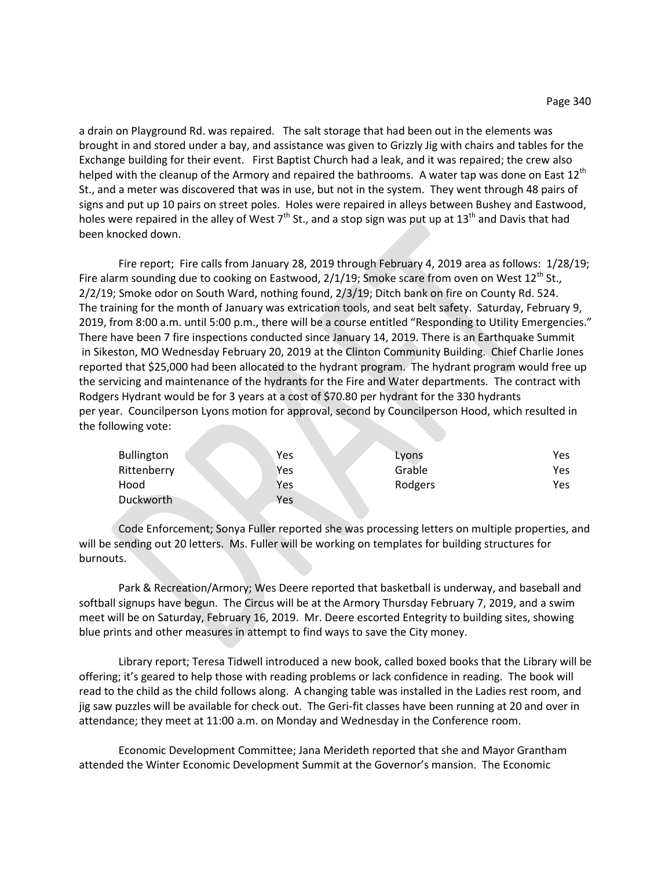a drain on Playground Rd. was repaired. The salt storage that had been out in the elements was brought in and stored under a bay, and assistance was given to Grizzly Jig with chairs and tables for the Exchange building for their event. First Baptist Church had a leak, and it was repaired; the crew also helped with the cleanup of the Armory and repaired the bathrooms. A water tap was done on East 12<sup>th</sup> St., and a meter was discovered that was in use, but not in the system. They went through 48 pairs of signs and put up 10 pairs on street poles. Holes were repaired in alleys between Bushey and Eastwood, holes were repaired in the alley of West  $7<sup>th</sup>$  St., and a stop sign was put up at 13<sup>th</sup> and Davis that had been knocked down.

Fire report; Fire calls from January 28, 2019 through February 4, 2019 area as follows: 1/28/19; Fire alarm sounding due to cooking on Eastwood,  $2/1/19$ ; Smoke scare from oven on West  $12^{th}$  St., 2/2/19; Smoke odor on South Ward, nothing found, 2/3/19; Ditch bank on fire on County Rd. 524. The training for the month of January was extrication tools, and seat belt safety. Saturday, February 9, 2019, from 8:00 a.m. until 5:00 p.m., there will be a course entitled "Responding to Utility Emergencies." There have been 7 fire inspections conducted since January 14, 2019. There is an Earthquake Summit in Sikeston, MO Wednesday February 20, 2019 at the Clinton Community Building. Chief Charlie Jones reported that \$25,000 had been allocated to the hydrant program. The hydrant program would free up the servicing and maintenance of the hydrants for the Fire and Water departments. The contract with Rodgers Hydrant would be for 3 years at a cost of \$70.80 per hydrant for the 330 hydrants per year. Councilperson Lyons motion for approval, second by Councilperson Hood, which resulted in the following vote:

| <b>Bullington</b> | Yes | Lyons   | Yes |
|-------------------|-----|---------|-----|
| Rittenberry       | Yes | Grable  | Yes |
| Hood              | Yes | Rodgers | Yes |
| Duckworth         | Yes |         |     |

Code Enforcement; Sonya Fuller reported she was processing letters on multiple properties, and will be sending out 20 letters. Ms. Fuller will be working on templates for building structures for burnouts.

Park & Recreation/Armory; Wes Deere reported that basketball is underway, and baseball and softball signups have begun. The Circus will be at the Armory Thursday February 7, 2019, and a swim meet will be on Saturday, February 16, 2019. Mr. Deere escorted Entegrity to building sites, showing blue prints and other measures in attempt to find ways to save the City money.

Library report; Teresa Tidwell introduced a new book, called boxed books that the Library will be offering; it's geared to help those with reading problems or lack confidence in reading. The book will read to the child as the child follows along. A changing table was installed in the Ladies rest room, and jig saw puzzles will be available for check out. The Geri-fit classes have been running at 20 and over in attendance; they meet at 11:00 a.m. on Monday and Wednesday in the Conference room.

Economic Development Committee; Jana Merideth reported that she and Mayor Grantham attended the Winter Economic Development Summit at the Governor's mansion. The Economic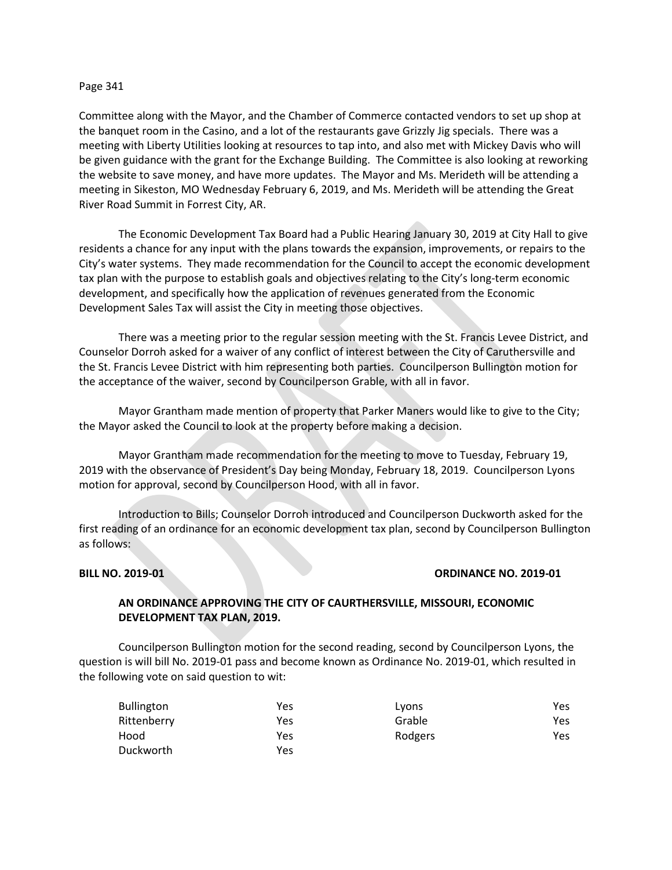### Page 341

Committee along with the Mayor, and the Chamber of Commerce contacted vendors to set up shop at the banquet room in the Casino, and a lot of the restaurants gave Grizzly Jig specials. There was a meeting with Liberty Utilities looking at resources to tap into, and also met with Mickey Davis who will be given guidance with the grant for the Exchange Building. The Committee is also looking at reworking the website to save money, and have more updates. The Mayor and Ms. Merideth will be attending a meeting in Sikeston, MO Wednesday February 6, 2019, and Ms. Merideth will be attending the Great River Road Summit in Forrest City, AR.

The Economic Development Tax Board had a Public Hearing January 30, 2019 at City Hall to give residents a chance for any input with the plans towards the expansion, improvements, or repairs to the City's water systems. They made recommendation for the Council to accept the economic development tax plan with the purpose to establish goals and objectives relating to the City's long-term economic development, and specifically how the application of revenues generated from the Economic Development Sales Tax will assist the City in meeting those objectives.

There was a meeting prior to the regular session meeting with the St. Francis Levee District, and Counselor Dorroh asked for a waiver of any conflict of interest between the City of Caruthersville and the St. Francis Levee District with him representing both parties. Councilperson Bullington motion for the acceptance of the waiver, second by Councilperson Grable, with all in favor.

Mayor Grantham made mention of property that Parker Maners would like to give to the City; the Mayor asked the Council to look at the property before making a decision.

Mayor Grantham made recommendation for the meeting to move to Tuesday, February 19, 2019 with the observance of President's Day being Monday, February 18, 2019. Councilperson Lyons motion for approval, second by Councilperson Hood, with all in favor.

Introduction to Bills; Counselor Dorroh introduced and Councilperson Duckworth asked for the first reading of an ordinance for an economic development tax plan, second by Councilperson Bullington as follows:

### **BILL NO. 2019-01 ORDINANCE NO. 2019-01**

# **AN ORDINANCE APPROVING THE CITY OF CAURTHERSVILLE, MISSOURI, ECONOMIC DEVELOPMENT TAX PLAN, 2019.**

Councilperson Bullington motion for the second reading, second by Councilperson Lyons, the question is will bill No. 2019-01 pass and become known as Ordinance No. 2019-01, which resulted in the following vote on said question to wit:

| <b>Bullington</b> | Yes | Lyons   | Yes |
|-------------------|-----|---------|-----|
| Rittenberry       | Yes | Grable  | Yes |
| Hood              | Yes | Rodgers | Yes |
| Duckworth         | Yes |         |     |